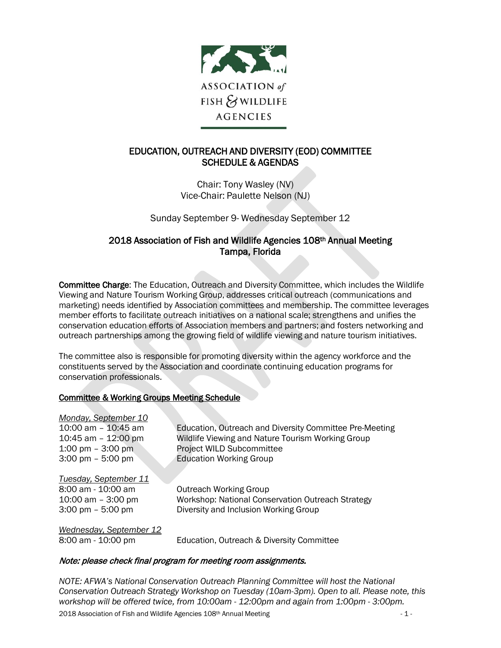

# EDUCATION, OUTREACH AND DIVERSITY (EOD) COMMITTEE SCHEDULE & AGENDAS

Chair: Tony Wasley (NV) Vice-Chair: Paulette Nelson (NJ)

Sunday September 9- Wednesday September 12

## 2018 Association of Fish and Wildlife Agencies 108th Annual Meeting Tampa, Florida

Committee Charge: The Education, Outreach and Diversity Committee, which includes the Wildlife Viewing and Nature Tourism Working Group, addresses critical outreach (communications and marketing) needs identified by Association committees and membership. The committee leverages member efforts to facilitate outreach initiatives on a national scale; strengthens and unifies the conservation education efforts of Association members and partners; and fosters networking and outreach partnerships among the growing field of wildlife viewing and nature tourism initiatives.

The committee also is responsible for promoting diversity within the agency workforce and the constituents served by the Association and coordinate continuing education programs for conservation professionals.

## Committee & Working Groups Meeting Schedule

| Monday, September 10                |                                                         |
|-------------------------------------|---------------------------------------------------------|
| 10:00 am - 10:45 am                 | Education, Outreach and Diversity Committee Pre-Meeting |
| 10:45 am - 12:00 pm                 | Wildlife Viewing and Nature Tourism Working Group       |
| 1:00 pm $-$ 3:00 pm                 | <b>Project WILD Subcommittee</b>                        |
| $3:00 \text{ pm} - 5:00 \text{ pm}$ | <b>Education Working Group</b>                          |
| Tuesday, September 11               |                                                         |
| 8:00 am - 10:00 am                  | <b>Outreach Working Group</b>                           |
| 10:00 am $-$ 3:00 pm                | Workshop: National Conservation Outreach Strategy       |
| $3:00 \text{ pm} - 5:00 \text{ pm}$ | Diversity and Inclusion Working Group                   |
| Wednesday, September 12             |                                                         |
| 8:00 am - 10:00 pm                  | Education, Outreach & Diversity Committee               |

## Note: please check final program for meeting room assignments.

*NOTE: AFWA's National Conservation Outreach Planning Committee will host the National Conservation Outreach Strategy Workshop on Tuesday (10am-3pm). Open to all. Please note, this workshop will be offered twice, from 10:00am - 12:00pm and again from 1:00pm - 3:00pm.*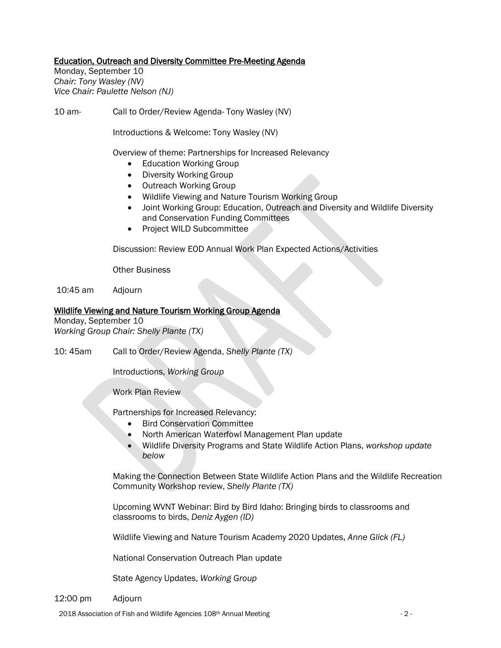## Education, Outreach and Diversity Committee Pre-Meeting Agenda

Monday, September 10 *Chair: Tony Wasley (NV) Vice Chair: Paulette Nelson (NJ)*

10 am- Call to Order/Review Agenda- Tony Wasley (NV)

Introductions & Welcome: Tony Wasley (NV)

Overview of theme: Partnerships for Increased Relevancy

- Education Working Group
- Diversity Working Group
- Outreach Working Group
- Wildlife Viewing and Nature Tourism Working Group
- Joint Working Group: Education, Outreach and Diversity and Wildlife Diversity and Conservation Funding Committees
- Project WILD Subcommittee

Discussion: Review EOD Annual Work Plan Expected Actions/Activities

Other Business

10:45 am Adjourn

## Wildlife Viewing and Nature Tourism Working Group Agenda

Monday, September 10 *Working Group Chair: Shelly Plante (TX)*

10: 45am Call to Order/Review Agenda, *Shelly Plante (TX)*

Introductions, *Working Group*

Work Plan Review

Partnerships for Increased Relevancy:

- Bird Conservation Committee
- North American Waterfowl Management Plan update
- Wildlife Diversity Programs and State Wildlife Action Plans, *workshop update below*

Making the Connection Between State Wildlife Action Plans and the Wildlife Recreation Community Workshop review, *Shelly Plante (TX)* 

Upcoming WVNT Webinar: Bird by Bird Idaho: Bringing birds to classrooms and classrooms to birds, *Deniz Aygen (ID)*

Wildlife Viewing and Nature Tourism Academy 2020 Updates, *Anne Glick (FL)*

National Conservation Outreach Plan update

State Agency Updates, *Working Group*

12:00 pm Adjourn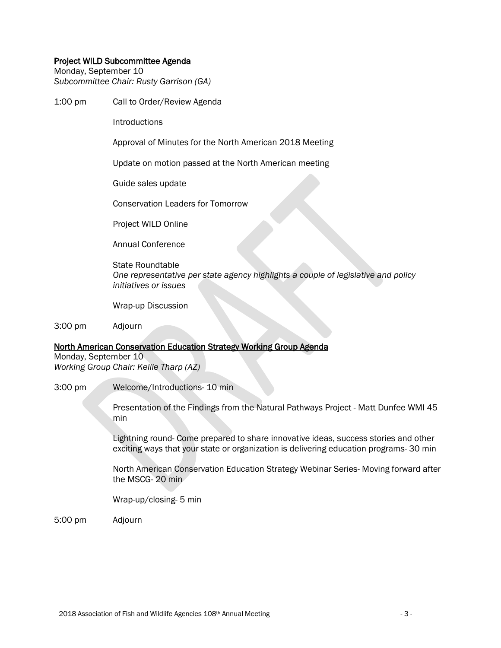#### Project WILD Subcommittee Agenda

Monday, September 10 *Subcommittee Chair: Rusty Garrison (GA)*

1:00 pm Call to Order/Review Agenda

**Introductions** 

Approval of Minutes for the North American 2018 Meeting

Update on motion passed at the North American meeting

Guide sales update

Conservation Leaders for Tomorrow

Project WILD Online

Annual Conference

State Roundtable *One representative per state agency highlights a couple of legislative and policy initiatives or issues*

Wrap-up Discussion

3:00 pm Adjourn

## North American Conservation Education Strategy Working Group Agenda

Monday, September 10 *Working Group Chair: Kellie Tharp (AZ)*

3:00 pm Welcome/Introductions- 10 min

Presentation of the Findings from the Natural Pathways Project - Matt Dunfee WMI 45 min

Lightning round- Come prepared to share innovative ideas, success stories and other exciting ways that your state or organization is delivering education programs- 30 min

North American Conservation Education Strategy Webinar Series- Moving forward after the MSCG- 20 min

Wrap-up/closing- 5 min

5:00 pm Adjourn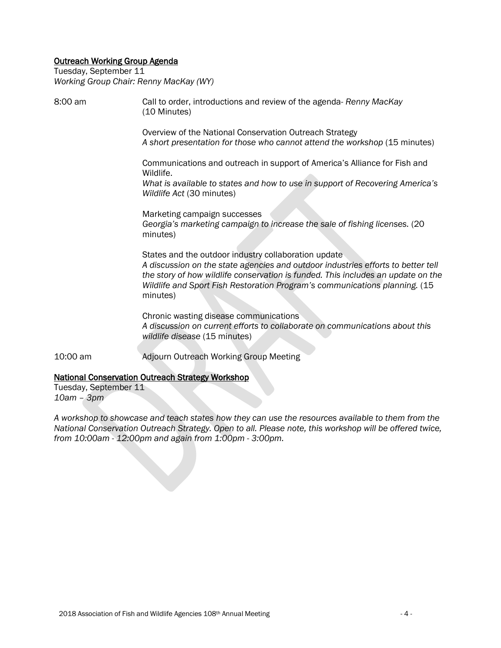## Outreach Working Group Agenda

Tuesday, September 11 *Working Group Chair: Renny MacKay (WY)*

8:00 am Call to order, introductions and review of the agenda- *Renny MacKay* (10 Minutes) Overview of the National Conservation Outreach Strategy *A short presentation for those who cannot attend the workshop* (15 minutes) Communications and outreach in support of America's Alliance for Fish and Wildlife. *What is available to states and how to use in support of Recovering America's Wildlife Act* (30 minutes) Marketing campaign successes *Georgia's marketing campaign to increase the sale of fishing licenses.* (20 minutes) States and the outdoor industry collaboration update *A discussion on the state agencies and outdoor industries efforts to better tell the story of how wildlife conservation is funded. This includes an update on the Wildlife and Sport Fish Restoration Program's communications planning.* (15 minutes) Chronic wasting disease communications *A discussion on current efforts to collaborate on communications about this wildlife disease* (15 minutes) 10:00 am Adjourn Outreach Working Group Meeting

## National Conservation Outreach Strategy Workshop

Tuesday, September 11 *10am – 3pm*

*A workshop to showcase and teach states how they can use the resources available to them from the National Conservation Outreach Strategy. Open to all. Please note, this workshop will be offered twice, from 10:00am - 12:00pm and again from 1:00pm - 3:00pm.*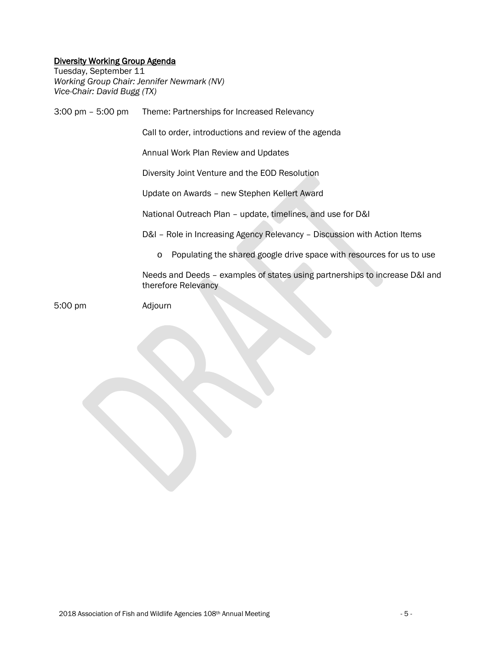## Diversity Working Group Agenda

Tuesday, September 11 *Working Group Chair: Jennifer Newmark (NV) Vice-Chair: David Bugg (TX)*

3:00 pm – 5:00 pm Theme: Partnerships for Increased Relevancy Call to order, introductions and review of the agenda Annual Work Plan Review and Updates Diversity Joint Venture and the EOD Resolution Update on Awards – new Stephen Kellert Award National Outreach Plan – update, timelines, and use for D&I D&I – Role in Increasing Agency Relevancy – Discussion with Action Items o Populating the shared google drive space with resources for us to use Needs and Deeds – examples of states using partnerships to increase D&I and therefore Relevancy 5:00 pm Adjourn